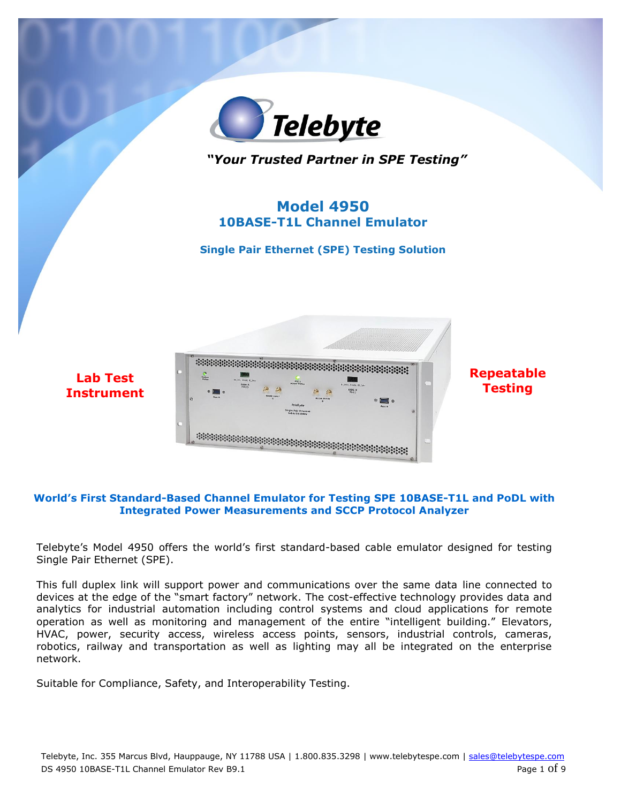

#### **World's First Standard-Based Channel Emulator for Testing SPE 10BASE-T1L and PoDL with Integrated Power Measurements and SCCP Protocol Analyzer**

Telebyte's Model 4950 offers the world's first standard-based cable emulator designed for testing Single Pair Ethernet (SPE).

This full duplex link will support power and communications over the same data line connected to devices at the edge of the "smart factory" network. The cost-effective technology provides data and analytics for industrial automation including control systems and cloud applications for remote operation as well as monitoring and management of the entire "intelligent building." Elevators, HVAC, power, security access, wireless access points, sensors, industrial controls, cameras, robotics, railway and transportation as well as lighting may all be integrated on the enterprise network.

Suitable for Compliance, Safety, and Interoperability Testing.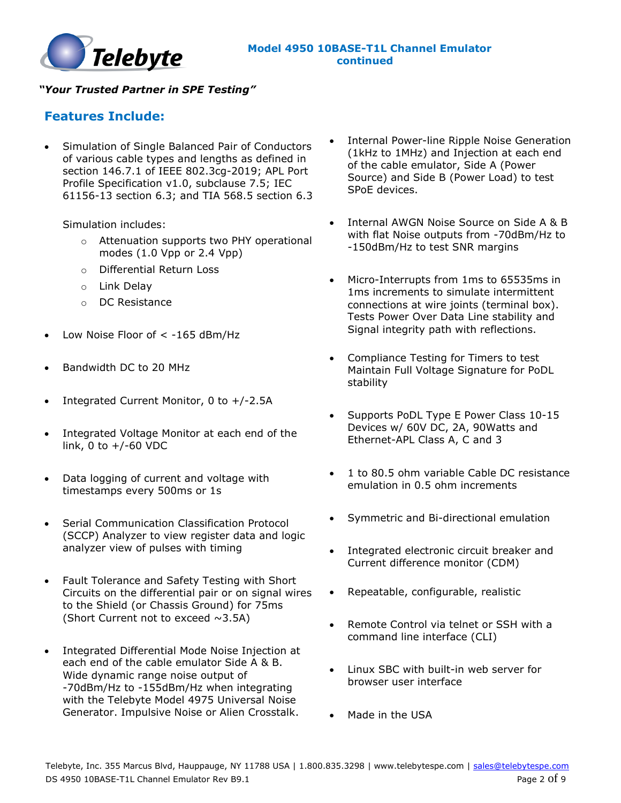

### **Features Include:**

• Simulation of Single Balanced Pair of Conductors of various cable types and lengths as defined in section 146.7.1 of IEEE 802.3cg-2019; APL Port Profile Specification v1.0, subclause 7.5; IEC 61156-13 section 6.3; and TIA 568.5 section 6.3

Simulation includes:

- o Attenuation supports two PHY operational modes (1.0 Vpp or 2.4 Vpp)
- o Differential Return Loss
- o Link Delay
- o DC Resistance
- Low Noise Floor of  $<$  -165 dBm/Hz
- Bandwidth DC to 20 MHz
- Integrated Current Monitor, 0 to +/-2.5A
- Integrated Voltage Monitor at each end of the link, 0 to +/-60 VDC
- Data logging of current and voltage with timestamps every 500ms or 1s
- Serial Communication Classification Protocol (SCCP) Analyzer to view register data and logic analyzer view of pulses with timing
- Fault Tolerance and Safety Testing with Short Circuits on the differential pair or on signal wires to the Shield (or Chassis Ground) for 75ms (Short Current not to exceed  $\sim$ 3.5A)
- Integrated Differential Mode Noise Injection at each end of the cable emulator Side A & B. Wide dynamic range noise output of -70dBm/Hz to -155dBm/Hz when integrating with the Telebyte Model 4975 Universal Noise Generator. Impulsive Noise or Alien Crosstalk.
- Internal Power-line Ripple Noise Generation (1kHz to 1MHz) and Injection at each end of the cable emulator, Side A (Power Source) and Side B (Power Load) to test SPoE devices.
- Internal AWGN Noise Source on Side A & B with flat Noise outputs from -70dBm/Hz to -150dBm/Hz to test SNR margins
- Micro-Interrupts from 1ms to 65535ms in 1ms increments to simulate intermittent connections at wire joints (terminal box). Tests Power Over Data Line stability and Signal integrity path with reflections.
- Compliance Testing for Timers to test Maintain Full Voltage Signature for PoDL stability
- Supports PoDL Type E Power Class 10-15 Devices w/ 60V DC, 2A, 90Watts and Ethernet-APL Class A, C and 3
- 1 to 80.5 ohm variable Cable DC resistance emulation in 0.5 ohm increments
- Symmetric and Bi-directional emulation
- Integrated electronic circuit breaker and Current difference monitor (CDM)
- Repeatable, configurable, realistic
- Remote Control via telnet or SSH with a command line interface (CLI)
- Linux SBC with built-in web server for browser user interface
- Made in the USA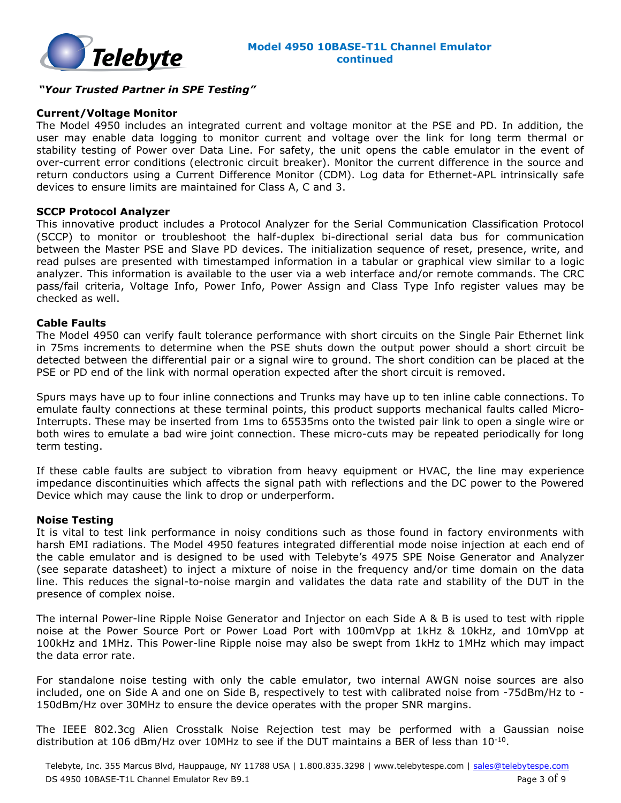

#### **Current/Voltage Monitor**

The Model 4950 includes an integrated current and voltage monitor at the PSE and PD. In addition, the user may enable data logging to monitor current and voltage over the link for long term thermal or stability testing of Power over Data Line. For safety, the unit opens the cable emulator in the event of over-current error conditions (electronic circuit breaker). Monitor the current difference in the source and return conductors using a Current Difference Monitor (CDM). Log data for Ethernet-APL intrinsically safe devices to ensure limits are maintained for Class A, C and 3.

#### **SCCP Protocol Analyzer**

This innovative product includes a Protocol Analyzer for the Serial Communication Classification Protocol (SCCP) to monitor or troubleshoot the half-duplex bi-directional serial data bus for communication between the Master PSE and Slave PD devices. The initialization sequence of reset, presence, write, and read pulses are presented with timestamped information in a tabular or graphical view similar to a logic analyzer. This information is available to the user via a web interface and/or remote commands. The CRC pass/fail criteria, Voltage Info, Power Info, Power Assign and Class Type Info register values may be checked as well.

#### **Cable Faults**

The Model 4950 can verify fault tolerance performance with short circuits on the Single Pair Ethernet link in 75ms increments to determine when the PSE shuts down the output power should a short circuit be detected between the differential pair or a signal wire to ground. The short condition can be placed at the PSE or PD end of the link with normal operation expected after the short circuit is removed.

Spurs mays have up to four inline connections and Trunks may have up to ten inline cable connections. To emulate faulty connections at these terminal points, this product supports mechanical faults called Micro-Interrupts. These may be inserted from 1ms to 65535ms onto the twisted pair link to open a single wire or both wires to emulate a bad wire joint connection. These micro-cuts may be repeated periodically for long term testing.

If these cable faults are subject to vibration from heavy equipment or HVAC, the line may experience impedance discontinuities which affects the signal path with reflections and the DC power to the Powered Device which may cause the link to drop or underperform.

#### **Noise Testing**

It is vital to test link performance in noisy conditions such as those found in factory environments with harsh EMI radiations. The Model 4950 features integrated differential mode noise injection at each end of the cable emulator and is designed to be used with Telebyte's 4975 SPE Noise Generator and Analyzer (see separate datasheet) to inject a mixture of noise in the frequency and/or time domain on the data line. This reduces the signal-to-noise margin and validates the data rate and stability of the DUT in the presence of complex noise.

The internal Power-line Ripple Noise Generator and Injector on each Side A & B is used to test with ripple noise at the Power Source Port or Power Load Port with 100mVpp at 1kHz & 10kHz, and 10mVpp at 100kHz and 1MHz. This Power-line Ripple noise may also be swept from 1kHz to 1MHz which may impact the data error rate.

For standalone noise testing with only the cable emulator, two internal AWGN noise sources are also included, one on Side A and one on Side B, respectively to test with calibrated noise from -75dBm/Hz to - 150dBm/Hz over 30MHz to ensure the device operates with the proper SNR margins.

The IEEE 802.3cg Alien Crosstalk Noise Rejection test may be performed with a Gaussian noise distribution at 106 dBm/Hz over 10MHz to see if the DUT maintains a BER of less than  $10^{-10}$ .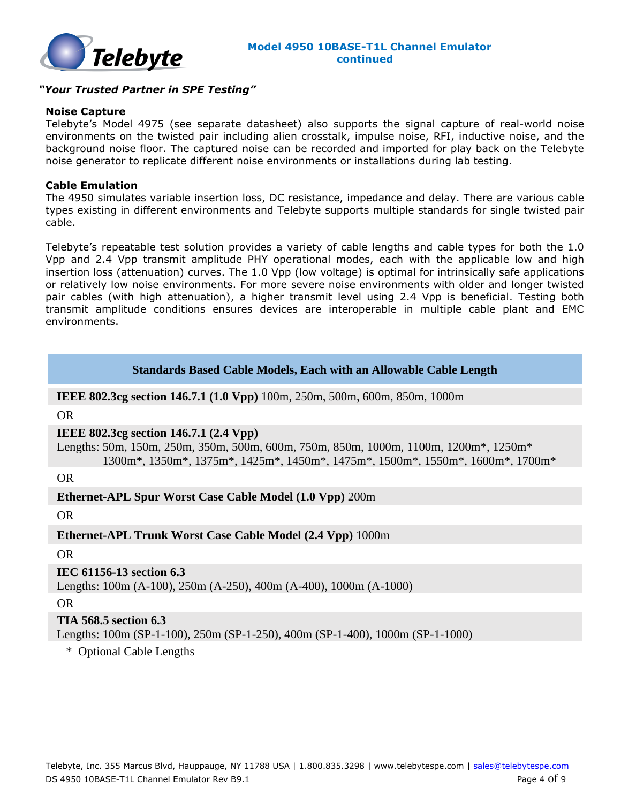

#### **Noise Capture**

Telebyte's Model 4975 (see separate datasheet) also supports the signal capture of real-world noise environments on the twisted pair including alien crosstalk, impulse noise, RFI, inductive noise, and the background noise floor. The captured noise can be recorded and imported for play back on the Telebyte noise generator to replicate different noise environments or installations during lab testing.

#### **Cable Emulation**

The 4950 simulates variable insertion loss, DC resistance, impedance and delay. There are various cable types existing in different environments and Telebyte supports multiple standards for single twisted pair cable.

Telebyte's repeatable test solution provides a variety of cable lengths and cable types for both the 1.0 Vpp and 2.4 Vpp transmit amplitude PHY operational modes, each with the applicable low and high insertion loss (attenuation) curves. The 1.0 Vpp (low voltage) is optimal for intrinsically safe applications or relatively low noise environments. For more severe noise environments with older and longer twisted pair cables (with high attenuation), a higher transmit level using 2.4 Vpp is beneficial. Testing both transmit amplitude conditions ensures devices are interoperable in multiple cable plant and EMC environments.

#### **Standards Based Cable Models, Each with an Allowable Cable Length**

**IEEE 802.3cg section 146.7.1 (1.0 Vpp)** 100m, 250m, 500m, 600m, 850m, 1000m

OR

#### **IEEE 802.3cg section 146.7.1 (2.4 Vpp)**

 Lengths: 50m, 150m, 250m, 350m, 500m, 600m, 750m, 850m, 1000m, 1100m, 1200m\*, 1250m\* 1300m\*, 1350m\*, 1375m\*, 1425m\*, 1450m\*, 1475m\*, 1500m\*, 1550m\*, 1600m\*, 1700m\*

OR

#### **Ethernet-APL Spur Worst Case Cable Model (1.0 Vpp)** 200m

OR

#### **Ethernet-APL Trunk Worst Case Cable Model (2.4 Vpp)** 1000m

OR

#### **IEC 61156-13 section 6.3**

Lengths: 100m (A-100), 250m (A-250), 400m (A-400), 1000m (A-1000)

OR

#### **TIA 568.5 section 6.3**

Lengths: 100m (SP-1-100), 250m (SP-1-250), 400m (SP-1-400), 1000m (SP-1-1000)

\* Optional Cable Lengths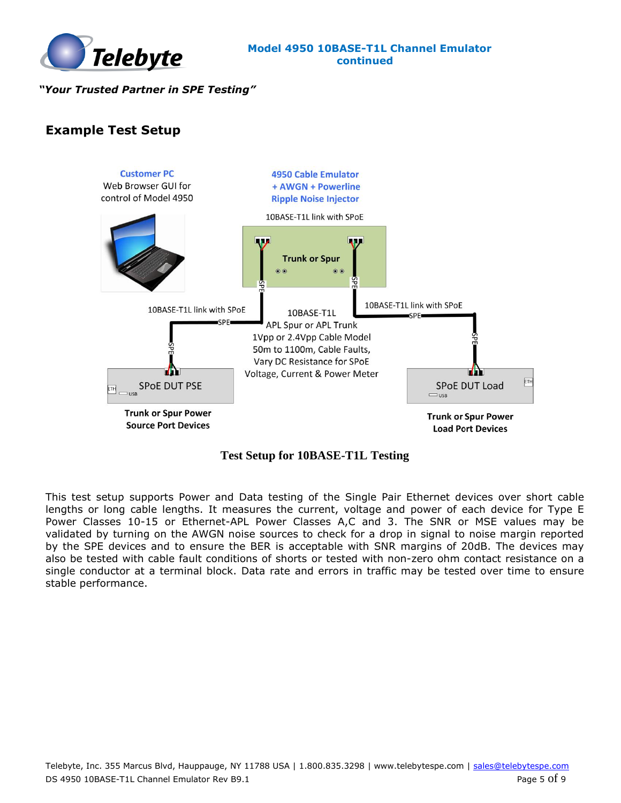

### **Example Test Setup**



**Test Setup for 10BASE-T1L Testing**

This test setup supports Power and Data testing of the Single Pair Ethernet devices over short cable lengths or long cable lengths. It measures the current, voltage and power of each device for Type E Power Classes 10-15 or Ethernet-APL Power Classes A,C and 3. The SNR or MSE values may be validated by turning on the AWGN noise sources to check for a drop in signal to noise margin reported by the SPE devices and to ensure the BER is acceptable with SNR margins of 20dB. The devices may also be tested with cable fault conditions of shorts or tested with non-zero ohm contact resistance on a single conductor at a terminal block. Data rate and errors in traffic may be tested over time to ensure stable performance.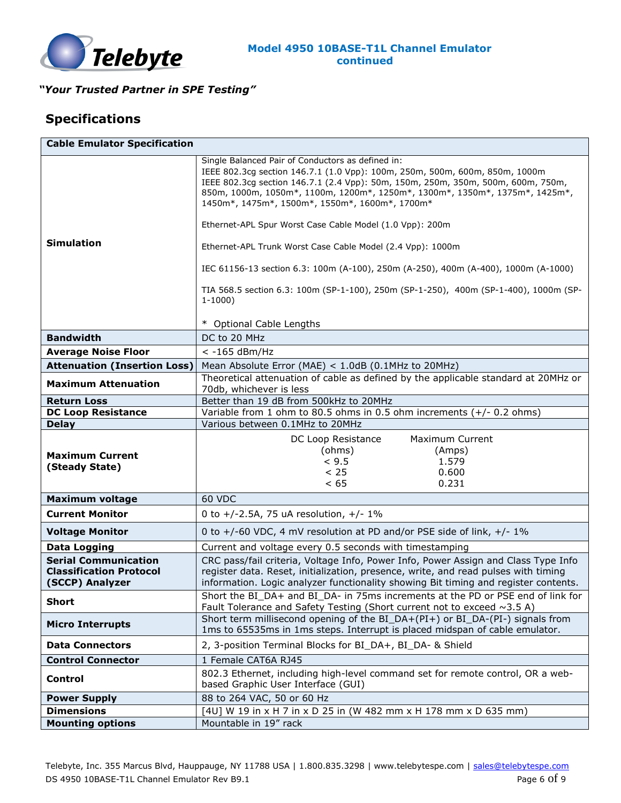

## **Specifications**

| <b>Cable Emulator Specification</b> |                                                                                                                                                                  |
|-------------------------------------|------------------------------------------------------------------------------------------------------------------------------------------------------------------|
|                                     | Single Balanced Pair of Conductors as defined in:<br>IEEE 802.3cg section 146.7.1 (1.0 Vpp): 100m, 250m, 500m, 600m, 850m, 1000m                                 |
|                                     | IEEE 802.3cg section 146.7.1 (2.4 Vpp): 50m, 150m, 250m, 350m, 500m, 600m, 750m,                                                                                 |
|                                     | 850m, 1000m, 1050m*, 1100m, 1200m*, 1250m*, 1300m*, 1350m*, 1375m*, 1425m*,                                                                                      |
|                                     | 1450m*, 1475m*, 1500m*, 1550m*, 1600m*, 1700m*                                                                                                                   |
|                                     | Ethernet-APL Spur Worst Case Cable Model (1.0 Vpp): 200m                                                                                                         |
| <b>Simulation</b>                   | Ethernet-APL Trunk Worst Case Cable Model (2.4 Vpp): 1000m                                                                                                       |
|                                     | IEC 61156-13 section 6.3: 100m (A-100), 250m (A-250), 400m (A-400), 1000m (A-1000)                                                                               |
|                                     |                                                                                                                                                                  |
|                                     | TIA 568.5 section 6.3: 100m (SP-1-100), 250m (SP-1-250), 400m (SP-1-400), 1000m (SP-<br>$1-1000$                                                                 |
|                                     |                                                                                                                                                                  |
|                                     | * Optional Cable Lengths                                                                                                                                         |
| <b>Bandwidth</b>                    | DC to 20 MHz                                                                                                                                                     |
| <b>Average Noise Floor</b>          | $<$ -165 dBm/Hz                                                                                                                                                  |
| <b>Attenuation (Insertion Loss)</b> | Mean Absolute Error (MAE) < 1.0dB (0.1MHz to 20MHz)                                                                                                              |
| <b>Maximum Attenuation</b>          | Theoretical attenuation of cable as defined by the applicable standard at 20MHz or                                                                               |
| <b>Return Loss</b>                  | 70db, whichever is less<br>Better than 19 dB from 500kHz to 20MHz                                                                                                |
| <b>DC Loop Resistance</b>           | Variable from 1 ohm to 80.5 ohms in 0.5 ohm increments $(+/- 0.2$ ohms)                                                                                          |
| <b>Delay</b>                        | Various between 0.1MHz to 20MHz                                                                                                                                  |
|                                     | <b>Maximum Current</b>                                                                                                                                           |
|                                     | DC Loop Resistance<br>(ohms)<br>(Amps)                                                                                                                           |
|                                     |                                                                                                                                                                  |
| <b>Maximum Current</b>              |                                                                                                                                                                  |
| (Steady State)                      | < 9.5<br>1.579<br>< 25<br>0.600                                                                                                                                  |
|                                     | < 65<br>0.231                                                                                                                                                    |
| <b>Maximum voltage</b>              | <b>60 VDC</b>                                                                                                                                                    |
| <b>Current Monitor</b>              | 0 to $+/-2.5A$ , 75 uA resolution, $+/-1\%$                                                                                                                      |
| <b>Voltage Monitor</b>              | 0 to +/-60 VDC, 4 mV resolution at PD and/or PSE side of link, +/- 1%                                                                                            |
| Data Logging                        | Current and voltage every 0.5 seconds with timestamping                                                                                                          |
| <b>Serial Communication</b>         | CRC pass/fail criteria, Voltage Info, Power Info, Power Assign and Class Type Info                                                                               |
| <b>Classification Protocol</b>      | register data. Reset, initialization, presence, write, and read pulses with timing                                                                               |
| (SCCP) Analyzer                     | information. Logic analyzer functionality showing Bit timing and register contents.                                                                              |
| <b>Short</b>                        | Short the BI_DA+ and BI_DA- in 75ms increments at the PD or PSE end of link for<br>Fault Tolerance and Safety Testing (Short current not to exceed $\sim$ 3.5 A) |
|                                     | Short term millisecond opening of the BI_DA+(PI+) or BI_DA-(PI-) signals from                                                                                    |
| <b>Micro Interrupts</b>             | 1ms to 65535ms in 1ms steps. Interrupt is placed midspan of cable emulator.                                                                                      |
| <b>Data Connectors</b>              | 2, 3-position Terminal Blocks for BI DA+, BI DA- & Shield                                                                                                        |
| <b>Control Connector</b>            | 1 Female CAT6A RJ45                                                                                                                                              |
| Control                             | 802.3 Ethernet, including high-level command set for remote control, OR a web-<br>based Graphic User Interface (GUI)                                             |
| <b>Power Supply</b>                 | 88 to 264 VAC, 50 or 60 Hz                                                                                                                                       |
| <b>Dimensions</b>                   | [4U] W 19 in x H 7 in x D 25 in (W 482 mm x H 178 mm x D 635 mm)                                                                                                 |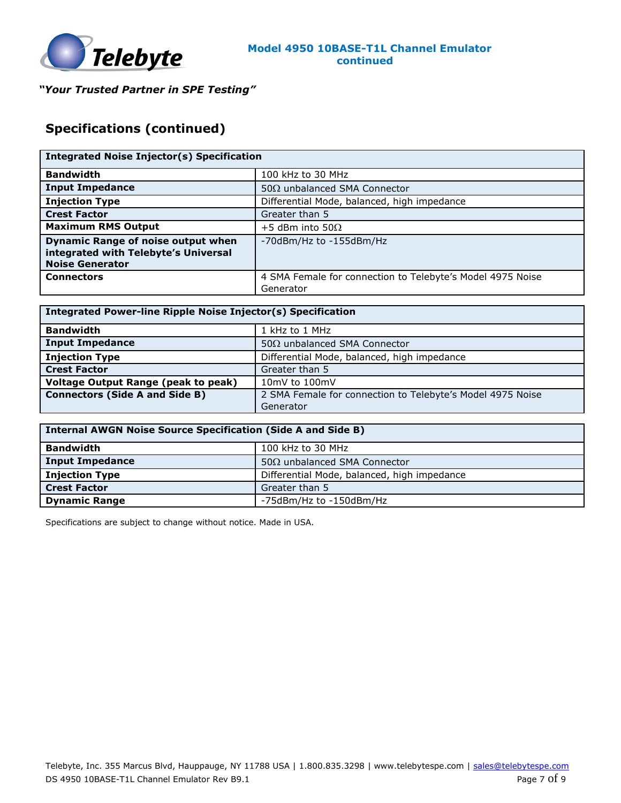

# **Specifications (continued)**

| <b>Integrated Noise Injector(s) Specification</b>                                                           |                                                                         |
|-------------------------------------------------------------------------------------------------------------|-------------------------------------------------------------------------|
| <b>Bandwidth</b>                                                                                            | 100 kHz to 30 MHz                                                       |
| <b>Input Impedance</b>                                                                                      | 50 $\Omega$ unbalanced SMA Connector                                    |
| <b>Injection Type</b>                                                                                       | Differential Mode, balanced, high impedance                             |
| <b>Crest Factor</b>                                                                                         | Greater than 5                                                          |
| <b>Maximum RMS Output</b>                                                                                   | +5 dBm into 50 $\Omega$                                                 |
| <b>Dynamic Range of noise output when</b><br>integrated with Telebyte's Universal<br><b>Noise Generator</b> | -70dBm/Hz to -155dBm/Hz                                                 |
| <b>Connectors</b>                                                                                           | 4 SMA Female for connection to Telebyte's Model 4975 Noise<br>Generator |

| Integrated Power-line Ripple Noise Injector(s) Specification |                                                            |  |
|--------------------------------------------------------------|------------------------------------------------------------|--|
| <b>Bandwidth</b>                                             | 1 kHz to 1 MHz                                             |  |
| Input Impedance                                              | $50\Omega$ unbalanced SMA Connector                        |  |
| <b>Injection Type</b>                                        | Differential Mode, balanced, high impedance                |  |
| <b>Crest Factor</b>                                          | Greater than 5                                             |  |
| Voltage Output Range (peak to peak)                          | 10mV to 100mV                                              |  |
| <b>Connectors (Side A and Side B)</b>                        | 2 SMA Female for connection to Telebyte's Model 4975 Noise |  |
|                                                              | Generator                                                  |  |

| <b>Internal AWGN Noise Source Specification (Side A and Side B)</b> |                                             |  |
|---------------------------------------------------------------------|---------------------------------------------|--|
| <b>Bandwidth</b>                                                    | 100 kHz to 30 MHz                           |  |
| <b>Input Impedance</b>                                              | $50\Omega$ unbalanced SMA Connector         |  |
| <b>Injection Type</b>                                               | Differential Mode, balanced, high impedance |  |
| <b>Crest Factor</b>                                                 | Greater than 5                              |  |
| <b>Dynamic Range</b>                                                | -75dBm/Hz to -150dBm/Hz                     |  |

Specifications are subject to change without notice. Made in USA.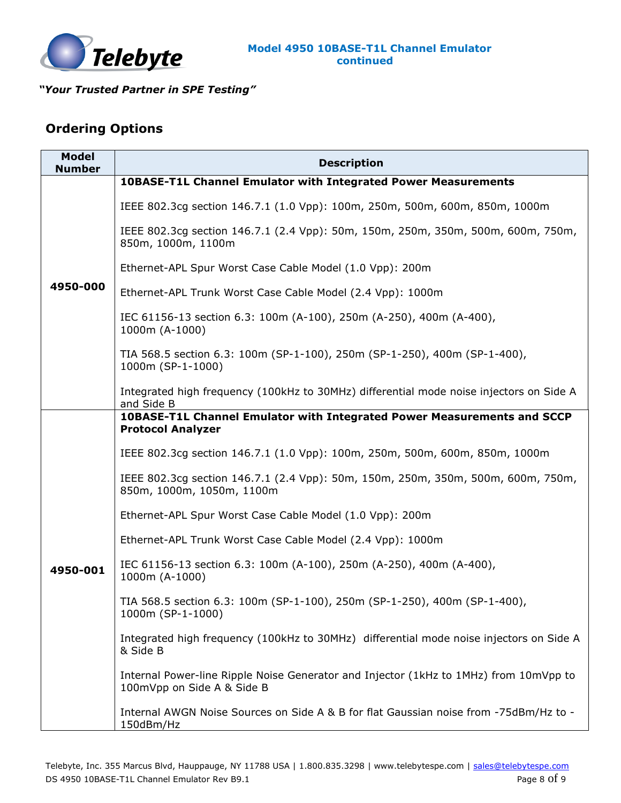

### **Ordering Options**

| <b>Model</b><br><b>Number</b> | <b>Description</b>                                                                                                  |
|-------------------------------|---------------------------------------------------------------------------------------------------------------------|
|                               | <b>10BASE-T1L Channel Emulator with Integrated Power Measurements</b>                                               |
|                               | IEEE 802.3cg section 146.7.1 (1.0 Vpp): 100m, 250m, 500m, 600m, 850m, 1000m                                         |
| 4950-000                      | IEEE 802.3cg section 146.7.1 (2.4 Vpp): 50m, 150m, 250m, 350m, 500m, 600m, 750m,<br>850m, 1000m, 1100m              |
|                               | Ethernet-APL Spur Worst Case Cable Model (1.0 Vpp): 200m                                                            |
|                               | Ethernet-APL Trunk Worst Case Cable Model (2.4 Vpp): 1000m                                                          |
|                               | IEC 61156-13 section 6.3: 100m (A-100), 250m (A-250), 400m (A-400),<br>1000m (A-1000)                               |
|                               | TIA 568.5 section 6.3: 100m (SP-1-100), 250m (SP-1-250), 400m (SP-1-400),<br>1000m (SP-1-1000)                      |
|                               | Integrated high frequency (100kHz to 30MHz) differential mode noise injectors on Side A<br>and Side B               |
|                               | 10BASE-T1L Channel Emulator with Integrated Power Measurements and SCCP<br><b>Protocol Analyzer</b>                 |
|                               | IEEE 802.3cg section 146.7.1 (1.0 Vpp): 100m, 250m, 500m, 600m, 850m, 1000m                                         |
| 4950-001                      | IEEE 802.3cg section 146.7.1 (2.4 Vpp): 50m, 150m, 250m, 350m, 500m, 600m, 750m,<br>850m, 1000m, 1050m, 1100m       |
|                               | Ethernet-APL Spur Worst Case Cable Model (1.0 Vpp): 200m                                                            |
|                               | Ethernet-APL Trunk Worst Case Cable Model (2.4 Vpp): 1000m                                                          |
|                               | IEC 61156-13 section 6.3: 100m (A-100), 250m (A-250), 400m (A-400),<br>1000m (A-1000)                               |
|                               | TIA 568.5 section 6.3: 100m (SP-1-100), 250m (SP-1-250), 400m (SP-1-400),<br>1000m (SP-1-1000)                      |
|                               | Integrated high frequency (100kHz to 30MHz) differential mode noise injectors on Side A<br>& Side B                 |
|                               | Internal Power-line Ripple Noise Generator and Injector (1kHz to 1MHz) from 10mVpp to<br>100mVpp on Side A & Side B |
|                               | Internal AWGN Noise Sources on Side A & B for flat Gaussian noise from -75dBm/Hz to -<br>150dBm/Hz                  |